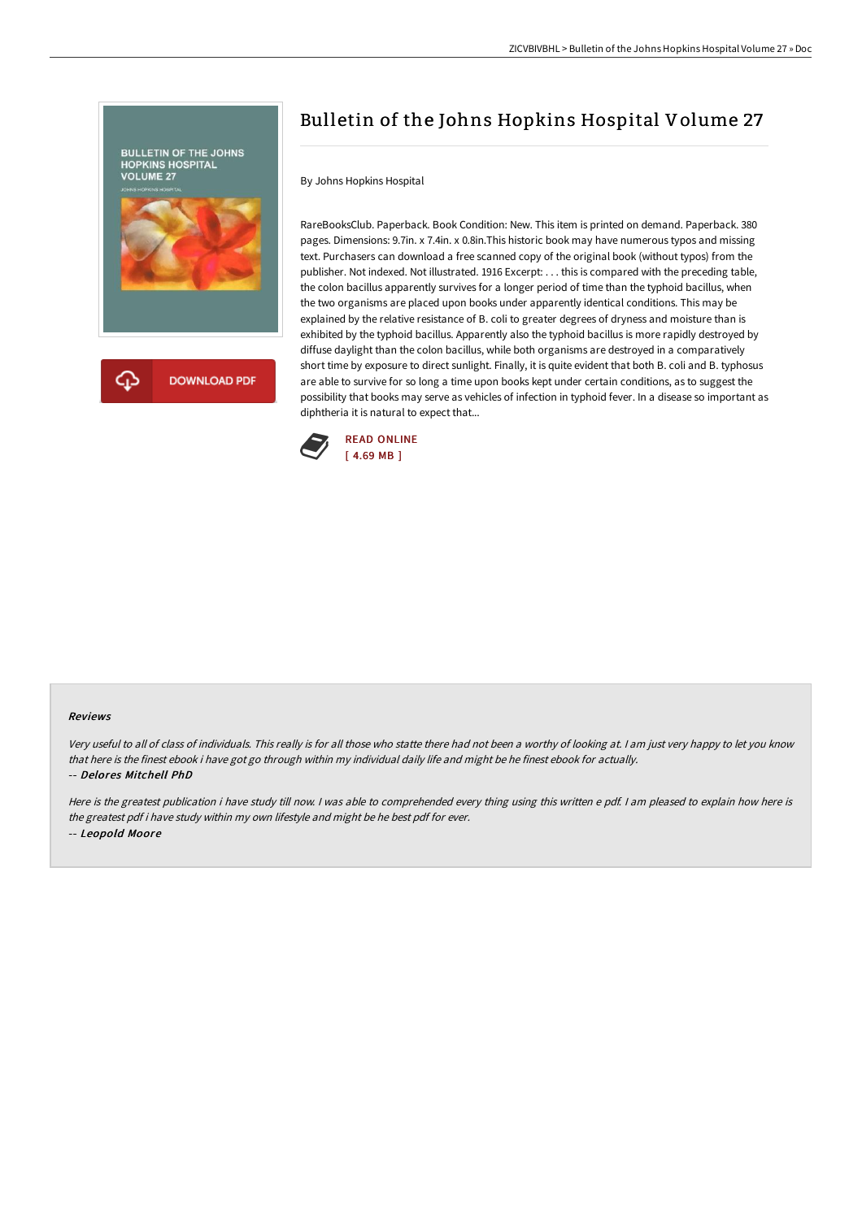

## Bulletin of the Johns Hopkins Hospital Volume 27

By Johns Hopkins Hospital

RareBooksClub. Paperback. Book Condition: New. This item is printed on demand. Paperback. 380 pages. Dimensions: 9.7in. x 7.4in. x 0.8in.This historic book may have numerous typos and missing text. Purchasers can download a free scanned copy of the original book (without typos) from the publisher. Not indexed. Not illustrated. 1916 Excerpt: . . . this is compared with the preceding table, the colon bacillus apparently survives for a longer period of time than the typhoid bacillus, when the two organisms are placed upon books under apparently identical conditions. This may be explained by the relative resistance of B. coli to greater degrees of dryness and moisture than is exhibited by the typhoid bacillus. Apparently also the typhoid bacillus is more rapidly destroyed by diffuse daylight than the colon bacillus, while both organisms are destroyed in a comparatively short time by exposure to direct sunlight. Finally, it is quite evident that both B. coli and B. typhosus are able to survive for so long a time upon books kept under certain conditions, as to suggest the possibility that books may serve as vehicles of infection in typhoid fever. In a disease so important as diphtheria it is natural to expect that...



## Reviews

Very useful to all of class of individuals. This really is for all those who statte there had not been <sup>a</sup> worthy of looking at. <sup>I</sup> am just very happy to let you know that here is the finest ebook i have got go through within my individual daily life and might be he finest ebook for actually. -- Delores Mitchell PhD

Here is the greatest publication i have study till now. <sup>I</sup> was able to comprehended every thing using this written <sup>e</sup> pdf. <sup>I</sup> am pleased to explain how here is the greatest pdf i have study within my own lifestyle and might be he best pdf for ever. -- Leopold Moore